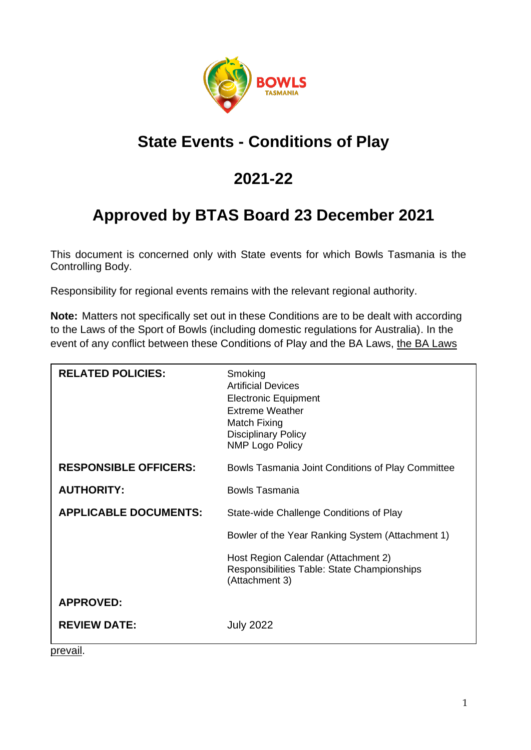

### **State Events - Conditions of Play**

### **2021-22**

## **Approved by BTAS Board 23 December 2021**

This document is concerned only with State events for which Bowls Tasmania is the Controlling Body.

Responsibility for regional events remains with the relevant regional authority.

**Note:** Matters not specifically set out in these Conditions are to be dealt with according to the Laws of the Sport of Bowls (including domestic regulations for Australia). In the event of any conflict between these Conditions of Play and the BA Laws, the BA Laws

| <b>RELATED POLICIES:</b>     | Smoking<br><b>Artificial Devices</b><br><b>Electronic Equipment</b><br><b>Extreme Weather</b><br>Match Fixing<br><b>Disciplinary Policy</b><br><b>NMP Logo Policy</b> |
|------------------------------|-----------------------------------------------------------------------------------------------------------------------------------------------------------------------|
| <b>RESPONSIBLE OFFICERS:</b> | Bowls Tasmania Joint Conditions of Play Committee                                                                                                                     |
| <b>AUTHORITY:</b>            | Bowls Tasmania                                                                                                                                                        |
| <b>APPLICABLE DOCUMENTS:</b> | State-wide Challenge Conditions of Play                                                                                                                               |
|                              | Bowler of the Year Ranking System (Attachment 1)                                                                                                                      |
|                              | Host Region Calendar (Attachment 2)<br>Responsibilities Table: State Championships<br>(Attachment 3)                                                                  |
| <b>APPROVED:</b>             |                                                                                                                                                                       |
| <b>REVIEW DATE:</b><br>- 91  | <b>July 2022</b>                                                                                                                                                      |

prevail.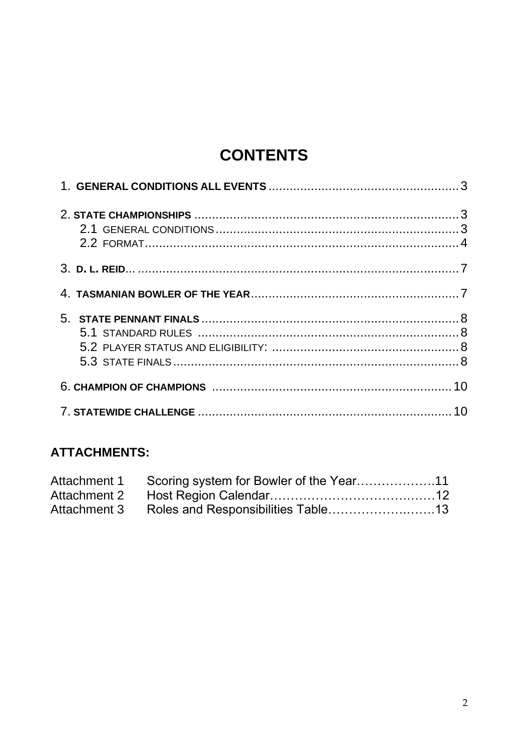## **CONTENTS**

### **ATTACHMENTS:**

| Attachment 1 Scoring system for Bowler of the Year11 |  |
|------------------------------------------------------|--|
|                                                      |  |
| Attachment 3 Roles and Responsibilities Table13      |  |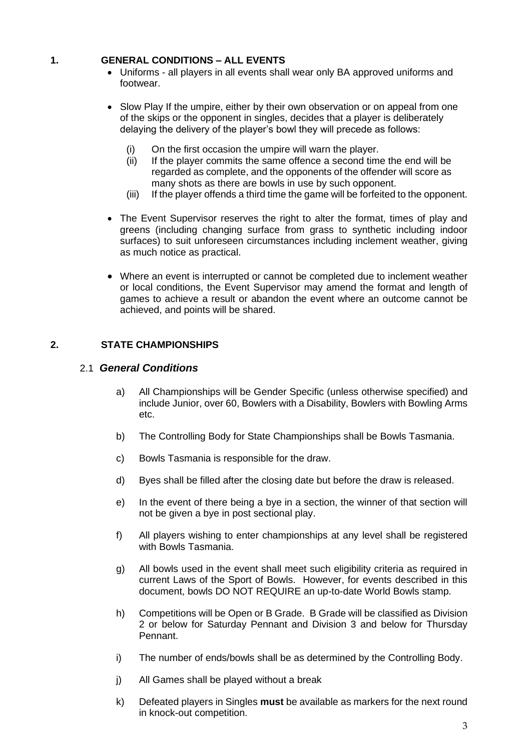#### <span id="page-2-0"></span>**1. GENERAL CONDITIONS – ALL EVENTS**

- Uniforms all players in all events shall wear only BA approved uniforms and footwear.
- Slow Play If the umpire, either by their own observation or on appeal from one of the skips or the opponent in singles, decides that a player is deliberately delaying the delivery of the player's bowl they will precede as follows:
	- (i) On the first occasion the umpire will warn the player.
	- (ii) If the player commits the same offence a second time the end will be regarded as complete, and the opponents of the offender will score as many shots as there are bowls in use by such opponent.
	- (iii) If the player offends a third time the game will be forfeited to the opponent.
- The Event Supervisor reserves the right to alter the format, times of play and greens (including changing surface from grass to synthetic including indoor surfaces) to suit unforeseen circumstances including inclement weather, giving as much notice as practical.
- Where an event is interrupted or cannot be completed due to inclement weather or local conditions, the Event Supervisor may amend the format and length of games to achieve a result or abandon the event where an outcome cannot be achieved, and points will be shared.

#### <span id="page-2-1"></span>**2. STATE CHAMPIONSHIPS**

#### 2.1 *General Conditions*

- a) All Championships will be Gender Specific (unless otherwise specified) and include Junior, over 60, Bowlers with a Disability, Bowlers with Bowling Arms etc.
- b) The Controlling Body for State Championships shall be Bowls Tasmania.
- c) Bowls Tasmania is responsible for the draw.
- d) Byes shall be filled after the closing date but before the draw is released.
- e) In the event of there being a bye in a section, the winner of that section will not be given a bye in post sectional play.
- f) All players wishing to enter championships at any level shall be registered with Bowls Tasmania.
- g) All bowls used in the event shall meet such eligibility criteria as required in current Laws of the Sport of Bowls. However, for events described in this document, bowls DO NOT REQUIRE an up-to-date World Bowls stamp.
- h) Competitions will be Open or B Grade. B Grade will be classified as Division 2 or below for Saturday Pennant and Division 3 and below for Thursday Pennant.
- i) The number of ends/bowls shall be as determined by the Controlling Body.
- j) All Games shall be played without a break
- k) Defeated players in Singles **must** be available as markers for the next round in knock-out competition.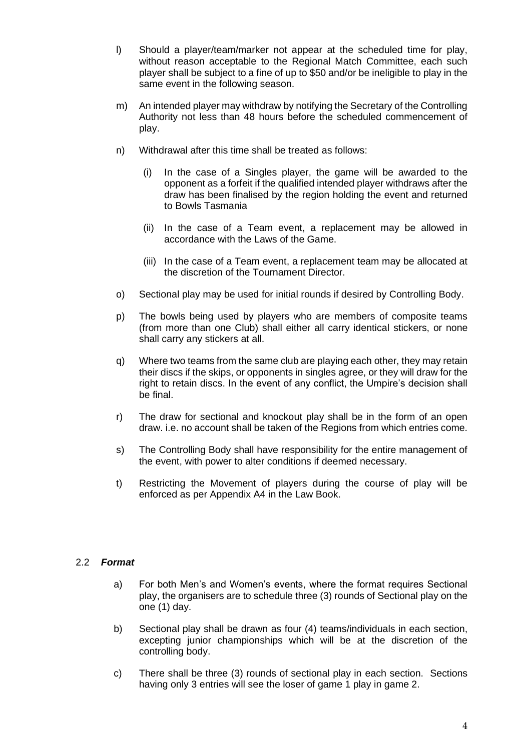- l) Should a player/team/marker not appear at the scheduled time for play, without reason acceptable to the Regional Match Committee, each such player shall be subject to a fine of up to \$50 and/or be ineligible to play in the same event in the following season.
- m) An intended player may withdraw by notifying the Secretary of the Controlling Authority not less than 48 hours before the scheduled commencement of play.
- n) Withdrawal after this time shall be treated as follows:
	- (i) In the case of a Singles player, the game will be awarded to the opponent as a forfeit if the qualified intended player withdraws after the draw has been finalised by the region holding the event and returned to Bowls Tasmania
	- (ii) In the case of a Team event, a replacement may be allowed in accordance with the Laws of the Game.
	- (iii) In the case of a Team event, a replacement team may be allocated at the discretion of the Tournament Director.
- o) Sectional play may be used for initial rounds if desired by Controlling Body.
- p) The bowls being used by players who are members of composite teams (from more than one Club) shall either all carry identical stickers, or none shall carry any stickers at all.
- q) Where two teams from the same club are playing each other, they may retain their discs if the skips, or opponents in singles agree, or they will draw for the right to retain discs. In the event of any conflict, the Umpire's decision shall be final.
- r) The draw for sectional and knockout play shall be in the form of an open draw. i.e. no account shall be taken of the Regions from which entries come.
- s) The Controlling Body shall have responsibility for the entire management of the event, with power to alter conditions if deemed necessary.
- t) Restricting the Movement of players during the course of play will be enforced as per Appendix A4 in the Law Book.

#### <span id="page-3-0"></span>2.2 *Format*

- a) For both Men's and Women's events, where the format requires Sectional play, the organisers are to schedule three (3) rounds of Sectional play on the one (1) day.
- b) Sectional play shall be drawn as four (4) teams/individuals in each section, excepting junior championships which will be at the discretion of the controlling body.
- c) There shall be three (3) rounds of sectional play in each section. Sections having only 3 entries will see the loser of game 1 play in game 2.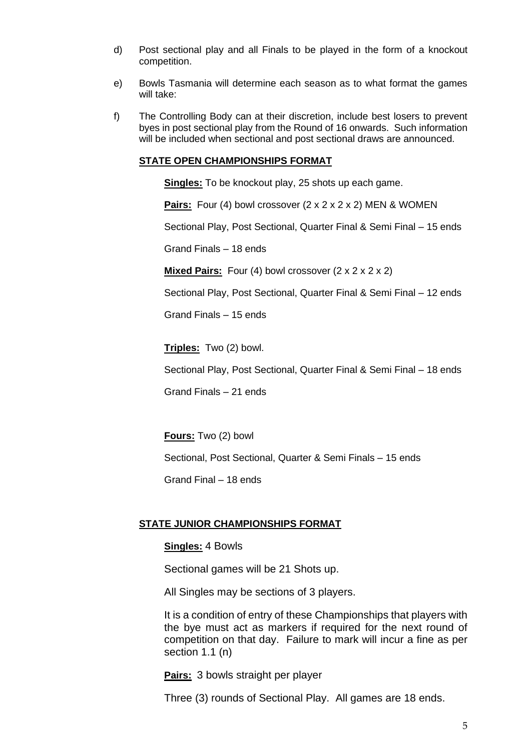- d) Post sectional play and all Finals to be played in the form of a knockout competition.
- e) Bowls Tasmania will determine each season as to what format the games will take:
- f) The Controlling Body can at their discretion, include best losers to prevent byes in post sectional play from the Round of 16 onwards. Such information will be included when sectional and post sectional draws are announced.

#### **STATE OPEN CHAMPIONSHIPS FORMAT**

**Singles:** To be knockout play, 25 shots up each game.

Pairs: Four (4) bowl crossover (2 x 2 x 2 x 2) MEN & WOMEN

Sectional Play, Post Sectional, Quarter Final & Semi Final – 15 ends

Grand Finals – 18 ends

**Mixed Pairs:** Four (4) bowl crossover (2 x 2 x 2 x 2)

Sectional Play, Post Sectional, Quarter Final & Semi Final – 12 ends

Grand Finals – 15 ends

**Triples:** Two (2) bowl.

Sectional Play, Post Sectional, Quarter Final & Semi Final – 18 ends

Grand Finals – 21 ends

**Fours:** Two (2) bowl

Sectional, Post Sectional, Quarter & Semi Finals – 15 ends

Grand Final – 18 ends

#### **STATE JUNIOR CHAMPIONSHIPS FORMAT**

#### **Singles:** 4 Bowls

Sectional games will be 21 Shots up.

All Singles may be sections of 3 players.

It is a condition of entry of these Championships that players with the bye must act as markers if required for the next round of competition on that day. Failure to mark will incur a fine as per section 1.1 (n)

**Pairs:** 3 bowls straight per player

Three (3) rounds of Sectional Play. All games are 18 ends.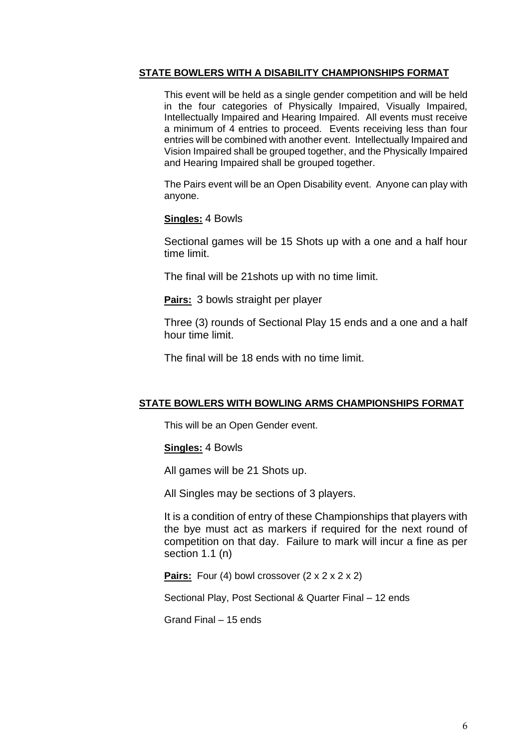#### **STATE BOWLERS WITH A DISABILITY CHAMPIONSHIPS FORMAT**

This event will be held as a single gender competition and will be held in the four categories of Physically Impaired, Visually Impaired, Intellectually Impaired and Hearing Impaired. All events must receive a minimum of 4 entries to proceed. Events receiving less than four entries will be combined with another event. Intellectually Impaired and Vision Impaired shall be grouped together, and the Physically Impaired and Hearing Impaired shall be grouped together.

The Pairs event will be an Open Disability event. Anyone can play with anyone.

#### **Singles:** 4 Bowls

Sectional games will be 15 Shots up with a one and a half hour time limit.

The final will be 21shots up with no time limit.

**Pairs:** 3 bowls straight per player

Three (3) rounds of Sectional Play 15 ends and a one and a half hour time limit.

The final will be 18 ends with no time limit.

#### **STATE BOWLERS WITH BOWLING ARMS CHAMPIONSHIPS FORMAT**

This will be an Open Gender event.

**Singles:** 4 Bowls

All games will be 21 Shots up.

All Singles may be sections of 3 players.

It is a condition of entry of these Championships that players with the bye must act as markers if required for the next round of competition on that day. Failure to mark will incur a fine as per section 1.1 (n)

**Pairs:** Four (4) bowl crossover (2 x 2 x 2 x 2)

Sectional Play, Post Sectional & Quarter Final – 12 ends

Grand Final – 15 ends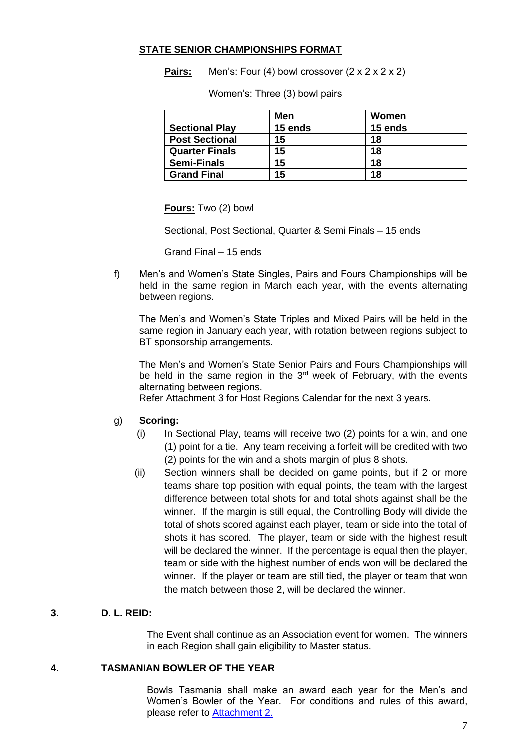#### **STATE SENIOR CHAMPIONSHIPS FORMAT**

**Pairs:** Men's: Four (4) bowl crossover (2 x 2 x 2 x 2)

Women's: Three (3) bowl pairs

|                       | Men     | Women   |
|-----------------------|---------|---------|
| <b>Sectional Play</b> | 15 ends | 15 ends |
| <b>Post Sectional</b> | 15      | 18      |
| <b>Quarter Finals</b> | 15      | 18      |
| <b>Semi-Finals</b>    | 15      | 18      |
| <b>Grand Final</b>    | 15      | 18      |

**Fours:** Two (2) bowl

Sectional, Post Sectional, Quarter & Semi Finals – 15 ends

Grand Final – 15 ends

f) Men's and Women's State Singles, Pairs and Fours Championships will be held in the same region in March each year, with the events alternating between regions.

The Men's and Women's State Triples and Mixed Pairs will be held in the same region in January each year, with rotation between regions subject to BT sponsorship arrangements.

The Men's and Women's State Senior Pairs and Fours Championships will be held in the same region in the  $3<sup>rd</sup>$  week of February, with the events alternating between regions.

Refer Attachment 3 for Host Regions Calendar for the next 3 years.

#### g) **Scoring:**

- (i) In Sectional Play, teams will receive two (2) points for a win, and one (1) point for a tie. Any team receiving a forfeit will be credited with two (2) points for the win and a shots margin of plus 8 shots.
- (ii) Section winners shall be decided on game points, but if 2 or more teams share top position with equal points, the team with the largest difference between total shots for and total shots against shall be the winner. If the margin is still equal, the Controlling Body will divide the total of shots scored against each player, team or side into the total of shots it has scored. The player, team or side with the highest result will be declared the winner. If the percentage is equal then the player, team or side with the highest number of ends won will be declared the winner. If the player or team are still tied, the player or team that won the match between those 2, will be declared the winner.

#### <span id="page-6-0"></span>**3. D. L. REID:**

The Event shall continue as an Association event for women. The winners in each Region shall gain eligibility to Master status.

#### <span id="page-6-1"></span>**4. TASMANIAN BOWLER OF THE YEAR**

Bowls Tasmania shall make an award each year for the Men's and Women's Bowler of the Year. For conditions and rules of this award, please refer to [Attachment 2.](#page-10-0)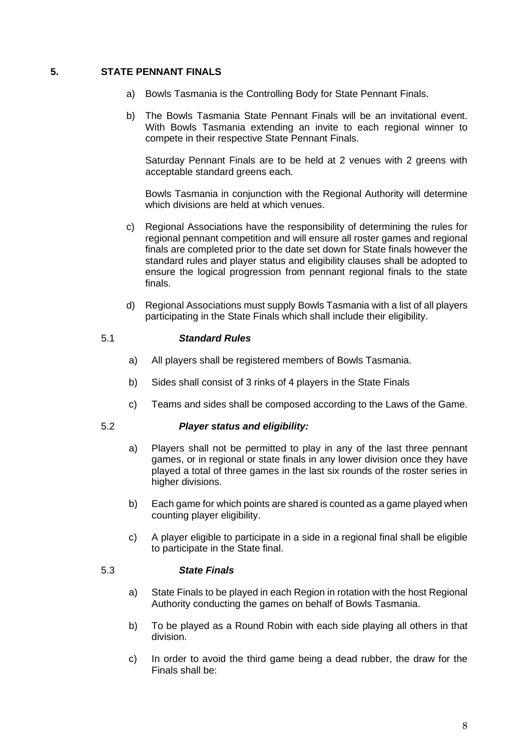#### <span id="page-7-0"></span>**5. STATE PENNANT FINALS**

- a) Bowls Tasmania is the Controlling Body for State Pennant Finals.
- b) The Bowls Tasmania State Pennant Finals will be an invitational event. With Bowls Tasmania extending an invite to each regional winner to compete in their respective State Pennant Finals.

Saturday Pennant Finals are to be held at 2 venues with 2 greens with acceptable standard greens each.

Bowls Tasmania in conjunction with the Regional Authority will determine which divisions are held at which venues.

- c) Regional Associations have the responsibility of determining the rules for regional pennant competition and will ensure all roster games and regional finals are completed prior to the date set down for State finals however the standard rules and player status and eligibility clauses shall be adopted to ensure the logical progression from pennant regional finals to the state finals.
- d) Regional Associations must supply Bowls Tasmania with a list of all players participating in the State Finals which shall include their eligibility.

#### 5.1 *Standard Rules*

- <span id="page-7-1"></span>a) All players shall be registered members of Bowls Tasmania.
- b) Sides shall consist of 3 rinks of 4 players in the State Finals
- c) Teams and sides shall be composed according to the Laws of the Game.

### 5.2 *Player status and eligibility:*

- <span id="page-7-2"></span>a) Players shall not be permitted to play in any of the last three pennant games, or in regional or state finals in any lower division once they have played a total of three games in the last six rounds of the roster series in higher divisions.
- b) Each game for which points are shared is counted as a game played when counting player eligibility.
- c) A player eligible to participate in a side in a regional final shall be eligible to participate in the State final.

#### 5.3 *State Finals*

- <span id="page-7-3"></span>a) State Finals to be played in each Region in rotation with the host Regional Authority conducting the games on behalf of Bowls Tasmania.
- b) To be played as a Round Robin with each side playing all others in that division.
- c) In order to avoid the third game being a dead rubber, the draw for the Finals shall be: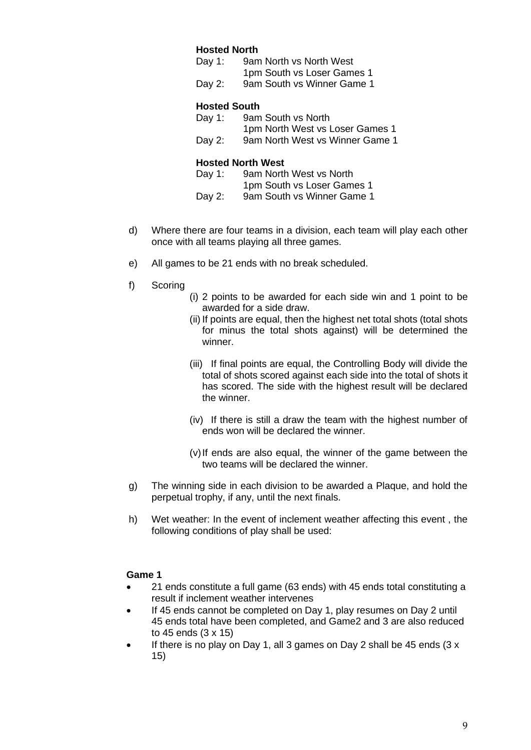#### **Hosted North**

| Day 1: | 9am North vs North West    |
|--------|----------------------------|
|        | 1pm South vs Loser Games 1 |
| Day 2: | 9am South vs Winner Game 1 |

#### **Hosted South**

| Day 1: | 9am South vs North              |
|--------|---------------------------------|
|        | 1pm North West vs Loser Games 1 |
| Day 2: | 9am North West vs Winner Game 1 |

#### **Hosted North West**

| Day 1: | 9am North West vs North    |
|--------|----------------------------|
|        | 1pm South vs Loser Games 1 |
| Day 2: | 9am South vs Winner Game 1 |

- d) Where there are four teams in a division, each team will play each other once with all teams playing all three games.
- e) All games to be 21 ends with no break scheduled.
- f) Scoring
- (i) 2 points to be awarded for each side win and 1 point to be awarded for a side draw.
- (ii) If points are equal, then the highest net total shots (total shots for minus the total shots against) will be determined the winner.
- (iii) If final points are equal, the Controlling Body will divide the total of shots scored against each side into the total of shots it has scored. The side with the highest result will be declared the winner.
- (iv) If there is still a draw the team with the highest number of ends won will be declared the winner.
- (v)If ends are also equal, the winner of the game between the two teams will be declared the winner.
- g) The winning side in each division to be awarded a Plaque, and hold the perpetual trophy, if any, until the next finals.
- h) Wet weather: In the event of inclement weather affecting this event , the following conditions of play shall be used:

#### **Game 1**

- 21 ends constitute a full game (63 ends) with 45 ends total constituting a result if inclement weather intervenes
- If 45 ends cannot be completed on Day 1, play resumes on Day 2 until 45 ends total have been completed, and Game2 and 3 are also reduced to 45 ends (3 x 15)
- If there is no play on Day 1, all 3 games on Day 2 shall be 45 ends  $(3 x$ 15)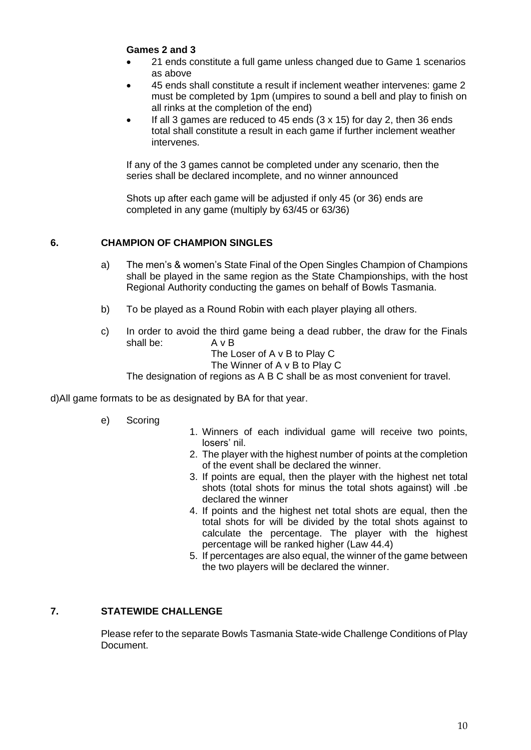#### **Games 2 and 3**

- 21 ends constitute a full game unless changed due to Game 1 scenarios as above
- 45 ends shall constitute a result if inclement weather intervenes: game 2 must be completed by 1pm (umpires to sound a bell and play to finish on all rinks at the completion of the end)
- If all 3 games are reduced to 45 ends  $(3 \times 15)$  for day 2, then 36 ends total shall constitute a result in each game if further inclement weather intervenes.

If any of the 3 games cannot be completed under any scenario, then the series shall be declared incomplete, and no winner announced

Shots up after each game will be adjusted if only 45 (or 36) ends are completed in any game (multiply by 63/45 or 63/36)

#### <span id="page-9-0"></span>**6. CHAMPION OF CHAMPION SINGLES**

- a) The men's & women's State Final of the Open Singles Champion of Champions shall be played in the same region as the State Championships, with the host Regional Authority conducting the games on behalf of Bowls Tasmania.
- b) To be played as a Round Robin with each player playing all others.
- c) In order to avoid the third game being a dead rubber, the draw for the Finals shall be: A v B
	- The Loser of A v B to Play C
	- The Winner of A v B to Play C

The designation of regions as A B C shall be as most convenient for travel.

d)All game formats to be as designated by BA for that year.

- e) Scoring
- 1. Winners of each individual game will receive two points, losers' nil.
- 2. The player with the highest number of points at the completion of the event shall be declared the winner.
- 3. If points are equal, then the player with the highest net total shots (total shots for minus the total shots against) will .be declared the winner
- 4. If points and the highest net total shots are equal, then the total shots for will be divided by the total shots against to calculate the percentage. The player with the highest percentage will be ranked higher (Law 44.4)
- 5. If percentages are also equal, the winner of the game between the two players will be declared the winner.

#### <span id="page-9-1"></span>**7. STATEWIDE CHALLENGE**

Please refer to the separate Bowls Tasmania State-wide Challenge Conditions of Play Document.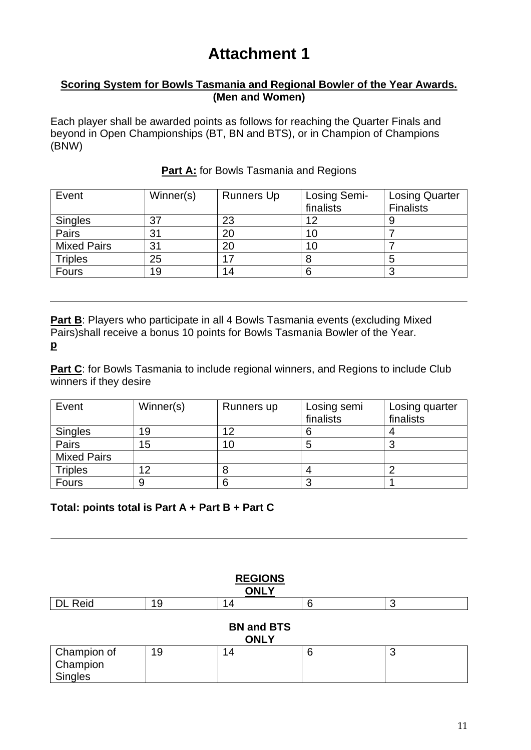### **Attachment 1**

#### <span id="page-10-0"></span>**Scoring System for Bowls Tasmania and Regional Bowler of the Year Awards. (Men and Women)**

Each player shall be awarded points as follows for reaching the Quarter Finals and beyond in Open Championships (BT, BN and BTS), or in Champion of Champions (BNW)

| Event              | Winner(s) | <b>Runners Up</b> | Losing Semi- | <b>Losing Quarter</b> |
|--------------------|-----------|-------------------|--------------|-----------------------|
|                    |           |                   | finalists    | <b>Finalists</b>      |
| <b>Singles</b>     | 37        | 23                | 12           |                       |
| Pairs              | 31        | 20                | 10           |                       |
| <b>Mixed Pairs</b> | 31        | 20                | 10           |                       |
| <b>Triples</b>     | 25        |                   |              |                       |
| Fours              | 19        | 14                | 6            |                       |

#### **Part A:** for Bowls Tasmania and Regions

**Part B:** Players who participate in all 4 Bowls Tasmania events (excluding Mixed Pairs)shall receive a bonus 10 points for Bowls Tasmania Bowler of the Year. **p**

**Part C:** for Bowls Tasmania to include regional winners, and Regions to include Club winners if they desire

| Event              | Winner(s) | Runners up | Losing semi | Losing quarter |
|--------------------|-----------|------------|-------------|----------------|
|                    |           |            | finalists   | finalists      |
| <b>Singles</b>     | 19        | 12         |             |                |
| Pairs              | 15        | 10         |             |                |
| <b>Mixed Pairs</b> |           |            |             |                |
| <b>Triples</b>     | 12        |            |             |                |
| <b>Fours</b>       | 9         |            |             |                |

### **Total: points total is Part A + Part B + Part C**

| <b>REGIONS</b><br><b>ONLY</b>      |    |    |   |   |
|------------------------------------|----|----|---|---|
| <b>DL Reid</b>                     | 19 | 14 | 6 | 3 |
| <b>BN and BTS</b><br><b>ONLY</b>   |    |    |   |   |
| Champion of<br>Champion<br>Singles | 19 | 14 | 6 | 3 |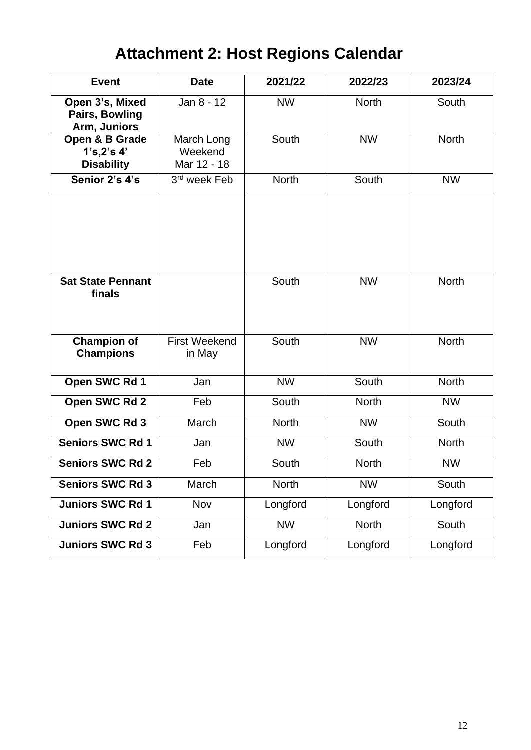# **Attachment 2: Host Regions Calendar**

| <b>Event</b>                                             | <b>Date</b>                          | 2021/22      | 2022/23      | 2023/24      |
|----------------------------------------------------------|--------------------------------------|--------------|--------------|--------------|
| Open 3's, Mixed<br><b>Pairs, Bowling</b><br>Arm, Juniors | Jan 8 - 12                           | <b>NW</b>    | <b>North</b> | South        |
| Open & B Grade<br>1's, 2's 4'<br><b>Disability</b>       | March Long<br>Weekend<br>Mar 12 - 18 | South        | <b>NW</b>    | <b>North</b> |
| Senior 2's 4's                                           | 3rd week Feb                         | <b>North</b> | South        | <b>NW</b>    |
| <b>Sat State Pennant</b>                                 |                                      | South        | <b>NW</b>    | <b>North</b> |
| finals                                                   |                                      |              |              |              |
| <b>Champion of</b><br><b>Champions</b>                   | <b>First Weekend</b><br>in May       | South        | <b>NW</b>    | <b>North</b> |
| Open SWC Rd 1                                            | Jan                                  | <b>NW</b>    | South        | <b>North</b> |
| Open SWC Rd 2                                            | Feb                                  | South        | <b>North</b> | <b>NW</b>    |
| Open SWC Rd 3                                            | March                                | <b>North</b> | <b>NW</b>    | South        |
| <b>Seniors SWC Rd 1</b>                                  | Jan                                  | <b>NW</b>    | South        | <b>North</b> |
| <b>Seniors SWC Rd 2</b>                                  | Feb                                  | South        | <b>North</b> | <b>NW</b>    |
| <b>Seniors SWC Rd 3</b>                                  | March                                | <b>North</b> | <b>NW</b>    | South        |
| <b>Juniors SWC Rd 1</b>                                  | Nov                                  | Longford     | Longford     | Longford     |
| <b>Juniors SWC Rd 2</b>                                  | Jan                                  | <b>NW</b>    | North        | South        |
| <b>Juniors SWC Rd 3</b>                                  | Feb                                  | Longford     | Longford     | Longford     |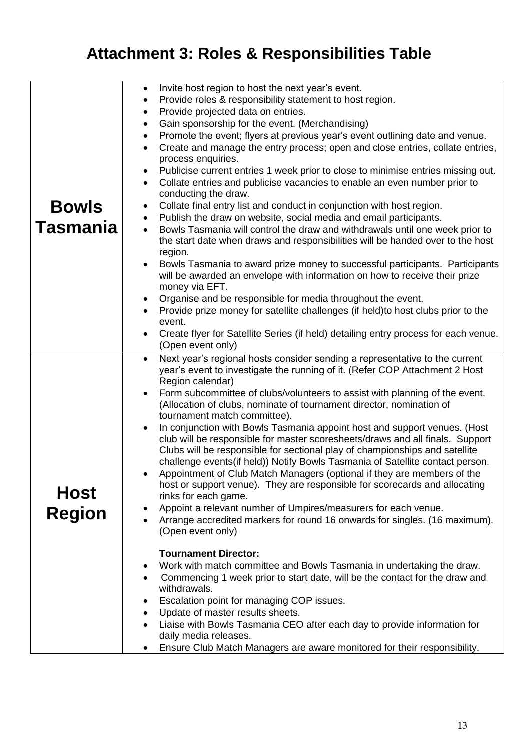# **Attachment 3: Roles & Responsibilities Table**

| <b>Bowls</b><br><b>Tasmania</b> | Invite host region to host the next year's event.<br>$\bullet$<br>Provide roles & responsibility statement to host region.<br>$\bullet$<br>Provide projected data on entries.<br>$\bullet$<br>Gain sponsorship for the event. (Merchandising)<br>$\bullet$<br>Promote the event; flyers at previous year's event outlining date and venue.<br>$\bullet$<br>Create and manage the entry process; open and close entries, collate entries,<br>$\bullet$<br>process enquiries.<br>Publicise current entries 1 week prior to close to minimise entries missing out.<br>$\bullet$<br>Collate entries and publicise vacancies to enable an even number prior to<br>$\bullet$<br>conducting the draw.<br>Collate final entry list and conduct in conjunction with host region.<br>Publish the draw on website, social media and email participants.<br>$\bullet$<br>Bowls Tasmania will control the draw and withdrawals until one week prior to<br>$\bullet$<br>the start date when draws and responsibilities will be handed over to the host<br>region.<br>Bowls Tasmania to award prize money to successful participants. Participants<br>will be awarded an envelope with information on how to receive their prize<br>money via EFT.<br>Organise and be responsible for media throughout the event.<br>٠<br>Provide prize money for satellite challenges (if held)to host clubs prior to the<br>event.<br>Create flyer for Satellite Series (if held) detailing entry process for each venue.<br>(Open event only)                                            |
|---------------------------------|--------------------------------------------------------------------------------------------------------------------------------------------------------------------------------------------------------------------------------------------------------------------------------------------------------------------------------------------------------------------------------------------------------------------------------------------------------------------------------------------------------------------------------------------------------------------------------------------------------------------------------------------------------------------------------------------------------------------------------------------------------------------------------------------------------------------------------------------------------------------------------------------------------------------------------------------------------------------------------------------------------------------------------------------------------------------------------------------------------------------------------------------------------------------------------------------------------------------------------------------------------------------------------------------------------------------------------------------------------------------------------------------------------------------------------------------------------------------------------------------------------------------------------------------------------------|
| <b>Host</b><br><b>Region</b>    | Next year's regional hosts consider sending a representative to the current<br>$\bullet$<br>year's event to investigate the running of it. (Refer COP Attachment 2 Host<br>Region calendar)<br>Form subcommittee of clubs/volunteers to assist with planning of the event.<br>(Allocation of clubs, nominate of tournament director, nomination of<br>tournament match committee).<br>In conjunction with Bowls Tasmania appoint host and support venues. (Host<br>club will be responsible for master scoresheets/draws and all finals. Support<br>Clubs will be responsible for sectional play of championships and satellite<br>challenge events(if held)) Notify Bowls Tasmania of Satellite contact person.<br>Appointment of Club Match Managers (optional if they are members of the<br>host or support venue). They are responsible for scorecards and allocating<br>rinks for each game.<br>Appoint a relevant number of Umpires/measurers for each venue.<br>Arrange accredited markers for round 16 onwards for singles. (16 maximum).<br>(Open event only)<br><b>Tournament Director:</b><br>Work with match committee and Bowls Tasmania in undertaking the draw.<br>Commencing 1 week prior to start date, will be the contact for the draw and<br>withdrawals.<br>Escalation point for managing COP issues.<br>Update of master results sheets.<br>$\bullet$<br>Liaise with Bowls Tasmania CEO after each day to provide information for<br>daily media releases.<br>Ensure Club Match Managers are aware monitored for their responsibility. |